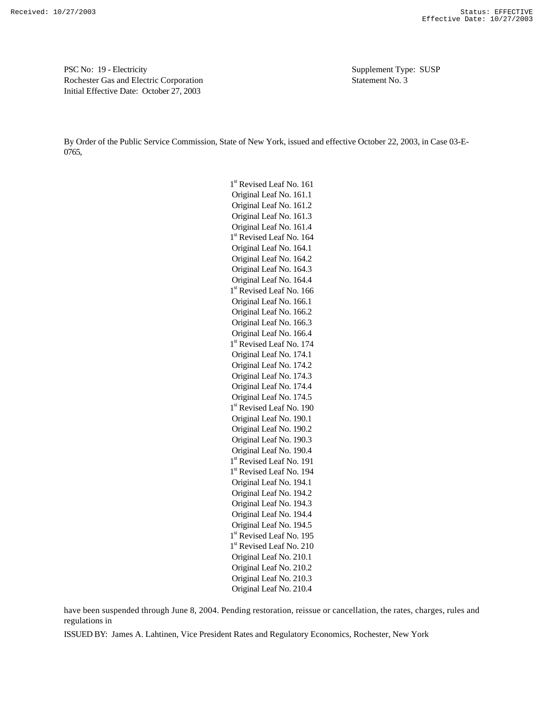PSC No: 19 - Electricity Supplement Type: SUSP Rochester Gas and Electric Corporation Statement No. 3 Initial Effective Date: October 27, 2003

By Order of the Public Service Commission, State of New York, issued and effective October 22, 2003, in Case 03-E-0765,

> 1<sup>st</sup> Revised Leaf No. 161 Original Leaf No. 161.1 Original Leaf No. 161.2 Original Leaf No. 161.3 Original Leaf No. 161.4 1<sup>st</sup> Revised Leaf No. 164 Original Leaf No. 164.1 Original Leaf No. 164.2 Original Leaf No. 164.3 Original Leaf No. 164.4 1<sup>st</sup> Revised Leaf No. 166 Original Leaf No. 166.1 Original Leaf No. 166.2 Original Leaf No. 166.3 Original Leaf No. 166.4 1<sup>st</sup> Revised Leaf No. 174 Original Leaf No. 174.1 Original Leaf No. 174.2 Original Leaf No. 174.3 Original Leaf No. 174.4 Original Leaf No. 174.5 1<sup>st</sup> Revised Leaf No. 190 Original Leaf No. 190.1 Original Leaf No. 190.2 Original Leaf No. 190.3 Original Leaf No. 190.4 1<sup>st</sup> Revised Leaf No. 191 1<sup>st</sup> Revised Leaf No. 194 Original Leaf No. 194.1 Original Leaf No. 194.2 Original Leaf No. 194.3 Original Leaf No. 194.4 Original Leaf No. 194.5 1<sup>st</sup> Revised Leaf No. 195 1<sup>st</sup> Revised Leaf No. 210 Original Leaf No. 210.1 Original Leaf No. 210.2 Original Leaf No. 210.3 Original Leaf No. 210.4

have been suspended through June 8, 2004. Pending restoration, reissue or cancellation, the rates, charges, rules and regulations in

ISSUED BY: James A. Lahtinen, Vice President Rates and Regulatory Economics, Rochester, New York